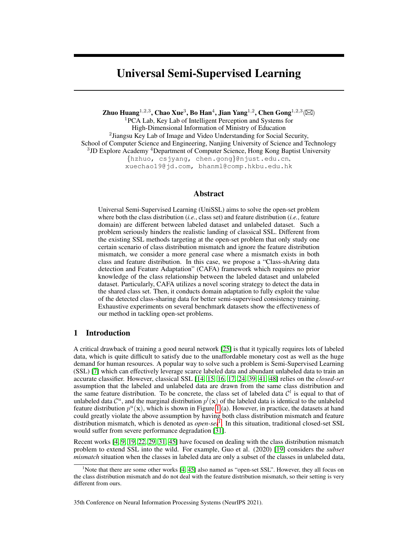# Universal Semi-Supervised Learning

Zhuo Huang $^{1,2,3}$ , Chao Xue $^3$ , Bo Han $^4$ , Jian Yang $^{1,2}$ , Chen Gong $^{1,2,3}$ ( $\boxtimes$ )

<sup>1</sup>PCA Lab, Key Lab of Intelligent Perception and Systems for High-Dimensional Information of Ministry of Education <sup>2</sup> Jiangsu Key Lab of Image and Video Understanding for Social Security, School of Computer Science and Engineering, Nanjing University of Science and Technology <sup>3</sup>JD Explore Academy <sup>4</sup>Department of Computer Science, Hong Kong Baptist University {hzhuo, csjyang, chen.gong}@njust.edu.cn, xuechao19@jd.com, bhanml@comp.hkbu.edu.hk

# Abstract

Universal Semi-Supervised Learning (UniSSL) aims to solve the open-set problem where both the class distribution (*i.e.*, class set) and feature distribution (*i.e.*, feature domain) are different between labeled dataset and unlabeled dataset. Such a problem seriously hinders the realistic landing of classical SSL. Different from the existing SSL methods targeting at the open-set problem that only study one certain scenario of class distribution mismatch and ignore the feature distribution mismatch, we consider a more general case where a mismatch exists in both class and feature distribution. In this case, we propose a "Class-shAring data detection and Feature Adaptation" (CAFA) framework which requires no prior knowledge of the class relationship between the labeled dataset and unlabeled dataset. Particularly, CAFA utilizes a novel scoring strategy to detect the data in the shared class set. Then, it conducts domain adaptation to fully exploit the value of the detected class-sharing data for better semi-supervised consistency training. Exhaustive experiments on several benchmark datasets show the effectiveness of our method in tackling open-set problems.

# 1 Introduction

A critical drawback of training a good neural network [\[25\]](#page-10-0) is that it typically requires lots of labeled data, which is quite difficult to satisfy due to the unaffordable monetary cost as well as the huge demand for human resources. A popular way to solve such a problem is Semi-Supervised Learning (SSL) [\[7\]](#page-9-0) which can effectively leverage scarce labeled data and abundant unlabeled data to train an accurate classifier. However, classical SSL [\[14,](#page-9-1) [15,](#page-9-2) [16,](#page-9-3) [17,](#page-10-1) [24,](#page-10-2) [39,](#page-11-0) [41,](#page-11-1) [48\]](#page-11-2) relies on the *closed-set* assumption that the labeled and unlabeled data are drawn from the same class distribution and the same feature distribution. To be concrete, the class set of labeled data  $\mathcal{C}^l$  is equal to that of unlabeled data  $\mathcal{C}^u$ , and the marginal distribution  $p^l(\mathbf{x})$  of the labeled data is identical to the unlabeled feature distribution  $p^u(\mathbf{x})$ , which is shown in Figure [1](#page-1-0) (a). However, in practice, the datasets at hand could greatly violate the above assumption by having both class distribution mismatch and feature distribution mismatch, which is denoted as *open-set*[1](#page-0-0) . In this situation, traditional closed-set SSL would suffer from severe performance degradation [\[31\]](#page-10-3).

Recent works [\[4,](#page-9-4) [9,](#page-9-5) [19,](#page-10-4) [22,](#page-10-5) [29,](#page-10-6) [31,](#page-10-3) [45\]](#page-11-3) have focused on dealing with the class distribution mismatch problem to extend SSL into the wild. For example, Guo et al. (2020) [\[19\]](#page-10-4) considers the *subset mismatch* situation when the classes in labeled data are only a subset of the classes in unlabeled data,

35th Conference on Neural Information Processing Systems (NeurIPS 2021).

<span id="page-0-0"></span><sup>&</sup>lt;sup>1</sup>Note that there are some other works  $[4, 45]$  $[4, 45]$  $[4, 45]$  also named as "open-set SSL". However, they all focus on the class distribution mismatch and do not deal with the feature distribution mismatch, so their setting is very different from ours.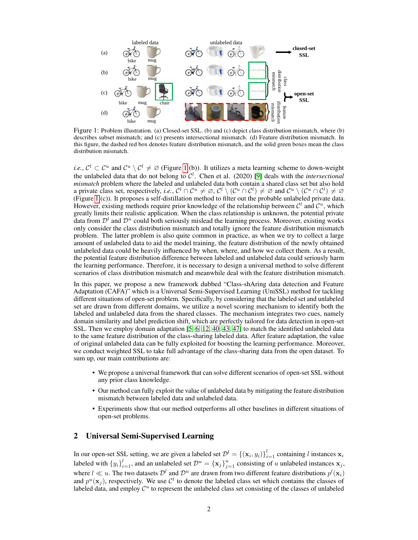<span id="page-1-0"></span>

Figure 1: Problem illustration. (a) Closed-set SSL. (b) and (c) depict class distribution mismatch, where (b) describes subset mismatch; and (c) presents intersectional mismatch. (d) Feature distribution mismatch. In this figure, the dashed red box denotes feature distribution mismatch, and the solid green boxes mean the class distribution mismatch.

*i.e.*,  $C^l \subset C^u$  and  $C^u \setminus C^l \neq \emptyset$  (Figure [1](#page-1-0) (b)). It utilizes a meta learning scheme to down-weight the unlabeled data that do not belong to  $C^l$ . Chen et al. (2020) [\[9\]](#page-9-5) deals with the *intersectional mismatch* problem where the labeled and unlabeled data both contain a shared class set but also hold a private class set, respectively, *i.e.*,  $C^l \cap C^u \neq \emptyset$ ,  $C^l \setminus (C^u \cap C^l) \neq \emptyset$  and  $C^u \setminus (C^u \cap C^l) \neq \emptyset$ (Figure [1](#page-1-0) (c)). It proposes a self-distillation method to filter out the probable unlabeled private data. However, existing methods require prior knowledge of the relationship between  $\mathcal{C}^l$  and  $\mathcal{C}^u$ , which greatly limits their realistic application. When the class relationship is unknown, the potential private data from  $\mathcal{D}^l$  and  $\mathcal{D}^u$  could both seriously mislead the learning process. Moreover, existing works only consider the class distribution mismatch and totally ignore the feature distribution mismatch problem. The latter problem is also quite common in practice, as when we try to collect a large amount of unlabeled data to aid the model training, the feature distribution of the newly obtained unlabeled data could be heavily influenced by when, where, and how we collect them. As a result, the potential feature distribution difference between labeled and unlabeled data could seriously harm the learning performance. Therefore, it is necessary to design a universal method to solve different scenarios of class distribution mismatch and meanwhile deal with the feature distribution mismatch.

In this paper, we propose a new framework dubbed "Class-shAring data detection and Feature Adaptation (CAFA)" which is a Universal Semi-Supervised Learning (UniSSL) method for tackling different situations of open-set problem. Specifically, by considering that the labeled set and unlabeled set are drawn from different domains, we utilize a novel scoring mechanism to identify both the labeled and unlabeled data from the shared classes. The mechanism integrates two cues, namely domain similarity and label prediction shift, which are perfectly tailored for data detection in open-set SSL. Then we employ domain adaptation [\[5,](#page-9-6) [6,](#page-9-7) [12,](#page-9-8) [40,](#page-11-4) [43,](#page-11-5) [47\]](#page-11-6) to match the identified unlabeled data to the same feature distribution of the class-sharing labeled data. After feature adaptation, the value of original unlabeled data can be fully exploited for boosting the learning performance. Moreover, we conduct weighted SSL to take full advantage of the class-sharing data from the open dataset. To sum up, our main contributions are:

- We propose a universal framework that can solve different scenarios of open-set SSL without any prior class knowledge.
- Our method can fully exploit the value of unlabeled data by mitigating the feature distribution mismatch between labeled data and unlabeled data.
- Experiments show that our method outperforms all other baselines in different situations of open-set problems.

# 2 Universal Semi-Supervised Learning

In our open-set SSL setting, we are given a labeled set  $\mathcal{D}^l = \{(\mathbf{x}_i, y_i)\}_{i=1}^l$  containing l instances  $\mathbf{x}_i$ labeled with  ${y_i}_{i=1}^l$ , and an unlabeled set  $\mathcal{D}^u = {\{\mathbf{x}_j\}}_{j=1}^u$  consisting of u unlabeled instances  $\mathbf{x}_j$ , where  $l \ll u$ . The two datasets  $\mathcal{D}^l$  and  $\mathcal{D}^u$  are drawn from two different feature distributions  $p^l(\mathbf{x}_i)$ and  $p^u(\mathbf{x}_j)$ , respectively. We use  $\mathcal{C}^l$  to denote the labeled class set which contains the classes of labeled data, and employ  $\mathcal{C}^u$  to represent the unlabeled class set consisting of the classes of unlabeled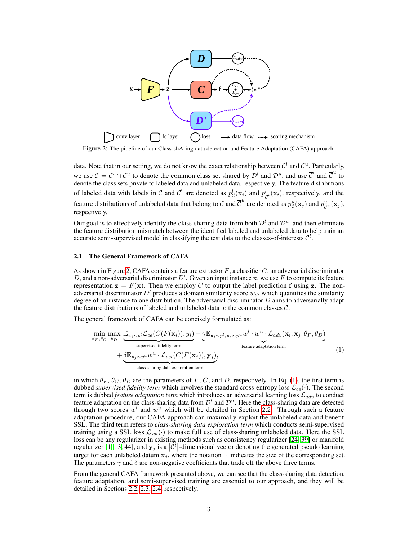

<span id="page-2-0"></span>Figure 2: The pipeline of our Class-shAring data detection and Feature Adaptation (CAFA) approach.

data. Note that in our setting, we do not know the exact relationship between  $\mathcal{C}^l$  and  $\mathcal{C}^u$ . Particularly, we use  $C = C^l \cap C^u$  to denote the common class set shared by  $\mathcal{D}^l$  and  $\mathcal{D}^u$ , and use  $\overline{C}^l$  and  $\overline{C}^u$  to denote the class sets private to labeled data and unlabeled data, respectively. The feature distributions of labeled data with labels in C and  $\overline{C}^l$  are denoted as  $p_C^l(\mathbf{x}_i)$  and  $p_{\overline{C}}^l$  $\frac{l}{C}$ <sup>l</sup> $(\mathbf{x}_i)$ , respectively, and the feature distributions of unlabeled data that belong to C and  $\overline{C}^u$  are denoted as  $p_{\mathcal{C}}^u(\mathbf{x}_j)$  and  $p_{\overline{C}^u}^u(\mathbf{x}_j)$ , respectively.

Our goal is to effectively identify the class-sharing data from both  $\mathcal{D}^l$  and  $\mathcal{D}^u$ , and then eliminate the feature distribution mismatch between the identified labeled and unlabeled data to help train an accurate semi-supervised model in classifying the test data to the classes-of-interests  $\mathcal{C}^l$ .

# 2.1 The General Framework of CAFA

As shown in Figure [2,](#page-2-0) CAFA contains a feature extractor  $F$ , a classifier  $C$ , an adversarial discriminator D, and a non-adversarial discriminator  $D'$ . Given an input instance x, we use F to compute its feature representation  $z = F(x)$ . Then we employ C to output the label prediction f using z. The nonadversarial discriminator D' produces a domain similarity score  $w_d$ , which quantifies the similarity degree of an instance to one distribution. The adversarial discriminator  $D$  aims to adversarially adapt the feature distributions of labeled and unlabeled data to the common classes  $C$ .

The general framework of CAFA can be concisely formulated as:

<span id="page-2-1"></span>
$$
\min_{\theta_F, \theta_C} \max_{\theta_D} \underbrace{\mathbb{E}_{\mathbf{x}_i \sim p^l} \mathcal{L}_{ce}(C(F(\mathbf{x}_i)), y_i)}_{\text{supervised fidelity term}} - \underbrace{\gamma \mathbb{E}_{\mathbf{x}_i \sim p^l, \mathbf{x}_j \sim p^u} w^l \cdot w^u \cdot \mathcal{L}_{adv}(\mathbf{x}_i, \mathbf{x}_j; \theta_F, \theta_D)}_{\text{feature adaptation term}} + \underbrace{\delta \mathbb{E}_{\mathbf{x}_j \sim p^u} w^u \cdot \mathcal{L}_{ssl}(C(F(\mathbf{x}_j)), \mathbf{y}_j)}_{\text{class-sharing data exploration term}},
$$
\n(1)

in which  $\theta_F$ ,  $\theta_C$ ,  $\theta_D$  are the parameters of F, C, and D, respectively. In Eq. [\(1\)](#page-2-1), the first term is dubbed *supervised fidelity term* which involves the standard cross-entropy loss  $\mathcal{L}_{ce}(\cdot)$ . The second term is dubbed *feature adaptation term* which introduces an adversarial learning loss  $\mathcal{L}_{adv}$  to conduct feature adaptation on the class-sharing data from  $\mathcal{D}^l$  and  $\mathcal{D}^u$ . Here the class-sharing data are detected through two scores  $w^l$  and  $w^u$  which will be detailed in Section [2.2.](#page-3-0) Through such a feature adaptation procedure, our CAFA approach can maximally exploit the unlabeled data and benefit SSL. The third term refers to *class-sharing data exploration term* which conducts semi-supervised training using a SSL loss  $\mathcal{L}_{ssl}(\cdot)$  to make full use of class-sharing unlabeled data. Here the SSL loss can be any regularizer in existing methods such as consistency regularizer [\[24,](#page-10-2) [39\]](#page-11-0) or manifold regularizer [\[1,](#page-9-9) [13,](#page-9-10) [44\]](#page-11-7), and  $y_j$  is a  $|\mathcal{C}^l|$ -dimensional vector denoting the generated pseudo learning target for each unlabeled datum  $x_j$ , where the notation | $\cdot$ | indicates the size of the corresponding set. The parameters  $\gamma$  and  $\delta$  are non-negative coefficients that trade off the above three terms.

From the general CAFA framework presented above, we can see that the class-sharing data detection, feature adaptation, and semi-supervised training are essential to our approach, and they will be detailed in Sections [2.2,](#page-3-0) [2.3,](#page-4-0) [2.4,](#page-5-0) respectively.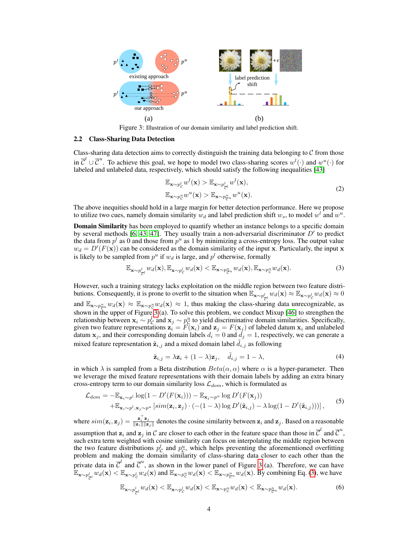

Figure 3: Illustration of our domain similarity and label prediction shift.

# <span id="page-3-0"></span>2.2 Class-Sharing Data Detection

Class-sharing data detection aims to correctly distinguish the training data belonging to  $C$  from those in  $\overline{C}^l \cup \overline{C}^u$ . To achieve this goal, we hope to model two class-sharing scores  $w^l(\cdot)$  and  $w^u(\cdot)$  for labeled and unlabeled data, respectively, which should satisfy the following inequalities [\[43\]](#page-11-5)

<span id="page-3-4"></span><span id="page-3-2"></span><span id="page-3-1"></span>
$$
\mathbb{E}_{\mathbf{x} \sim p_C^l} w^l(\mathbf{x}) > \mathbb{E}_{\mathbf{x} \sim p_{\overline{C}^l}^l} w^l(\mathbf{x}),
$$
\n
$$
\mathbb{E}_{\mathbf{x} \sim p_C^u} w^u(\mathbf{x}) > \mathbb{E}_{\mathbf{x} \sim p_{\overline{C}}^u} w^u(\mathbf{x}). \tag{2}
$$

The above inequities should hold in a large margin for better detection performance. Here we propose to utilize two cues, namely domain similarity  $w_d$  and label prediction shift  $w_s$ , to model  $w^l$  and  $w^u$ .

**Domain Similarity** has been employed to quantify whether an instance belongs to a specific domain by several methods [\[6,](#page-9-7) [43,](#page-11-5) [47\]](#page-11-6). They usually train a non-adversarial discriminator  $D'$  to predict the data from  $p<sup>l</sup>$  as 0 and those from  $p<sup>u</sup>$  as 1 by minimizing a cross-entropy loss. The output value  $w_d = D'(F(\mathbf{x}))$  can be considered as the domain similarity of the input x. Particularly, the input x is likely to be sampled from  $p^u$  if  $w_d$  is large, and  $p^l$  otherwise, formally

$$
\mathbb{E}_{\mathbf{x} \sim p_{\overline{C}^l}} w_d(\mathbf{x}), \mathbb{E}_{\mathbf{x} \sim p_C^l} w_d(\mathbf{x}) < \mathbb{E}_{\mathbf{x} \sim p_{\overline{C}^u}} w_d(\mathbf{x}), \mathbb{E}_{\mathbf{x} \sim p_C^u} w_d(\mathbf{x}). \tag{3}
$$

However, such a training strategy lacks exploitation on the middle region between two feature distributions. Consequently, it is prone to overfit to the situation when  $\mathbb{E}_{\mathbf{x} \sim p_C^l} w_d(\mathbf{x}) \approx \mathbb{E}_{\mathbf{x} \sim p_C^l} w_d(\mathbf{x}) \approx 0$ and  $\mathbb{E}_{\mathbf{x} \sim p_{\sigma u}^u} w_d(\mathbf{x}) \approx \mathbb{E}_{\mathbf{x} \sim p_{\sigma}^u} w_d(\mathbf{x}) \approx 1$ , thus making the class-sharing data unrecognizable, as  $\sum_{n=1}^{\infty}$   $\sum_{p}^{\infty}$   $\sum_{n=1}^{\infty}$   $\sum_{n=1}^{\infty}$   $\sum_{n=1}^{\infty}$  . To solve this problem, we conduct Mixup [\[46\]](#page-11-8) to strengthen the relationship between  $x_i \sim p_C^l$  and  $x_j \sim p_C^u$  to yield discriminative domain similarities. Specifically, given two feature representations  $\mathbf{z}_i = F(\mathbf{x}_i)$  and  $\mathbf{z}_j = F(\mathbf{x}_j)$  of labeled datum  $\mathbf{x}_i$  and unlabeled datum  $x_j$ , and their corresponding domain labels  $d_i = 0$  and  $\dot{d}_j = 1$ , respectively, we can generate a mixed feature representation  $\tilde{\mathbf{z}}_{i,j}$  and a mixed domain label  $d_{i,j}$  as following

<span id="page-3-3"></span>
$$
\tilde{\mathbf{z}}_{i,j} = \lambda \mathbf{z}_i + (1 - \lambda)\mathbf{z}_j, \quad \tilde{d}_{i,j} = 1 - \lambda,
$$
\n(4)

in which  $\lambda$  is sampled from a Beta distribution  $Beta(\alpha, \alpha)$  where  $\alpha$  is a hyper-parameter. Then we leverage the mixed feature representations with their domain labels by adding an extra binary cross-entropy term to our domain similarity loss  $\mathcal{L}_{dom}$ , which is formulated as

$$
\mathcal{L}_{dom} = -\mathbb{E}_{\mathbf{x}_i \sim p^l} \log(1 - D'(F(\mathbf{x}_i))) - \mathbb{E}_{\mathbf{x}_j \sim p^u} \log D'(F(\mathbf{x}_j)) \n+ \mathbb{E}_{\mathbf{x}_i \sim p^l, \mathbf{x}_j \sim p^u} \left[ sim(\mathbf{z}_i, \mathbf{z}_j) \cdot (-(1-\lambda) \log D'(\tilde{\mathbf{z}}_{i,j}) - \lambda \log(1 - D'(\tilde{\mathbf{z}}_{i,j}))) \right],
$$
\n(5)

where  $\text{sim}(\mathbf{z}_i, \mathbf{z}_j) = \frac{\mathbf{z}_i^{\top} \mathbf{z}_j}{\|\mathbf{z}_i\| \|\mathbf{z}_j\|}$  denotes the cosine similarity between  $\mathbf{z}_i$  and  $\mathbf{z}_j$ . Based on a reasonable

assumption that  $z_i$  and  $z_j$  in  $\mathcal C$  are closer to each other in the feature space than those in  $\overline{\mathcal C}^l$  and  $\overline{\mathcal C}^u$ , such extra term weighted with cosine similarity can focus on interpolating the middle region between the two feature distributions  $p_C^l$  and  $p_C^u$ , which helps preventing the aforementioned overfitting problem and making the domain similarity of class-sharing data closer to each other than the private data in  $\overline{C}^l$  and  $\overline{C}^u$ , as shown in the lower panel of Figure [3](#page-3-1) (a). Therefore, we can have  $\mathbb{E}_{\mathbf{x} \sim p_{\overline{C}}^l} w_d(\mathbf{x}) < \mathbb{E}_{\mathbf{x} \sim p_C^l} w_d(\mathbf{x})$  and  $\mathbb{E}_{\mathbf{x} \sim p_C^u} w_d(\mathbf{x}) < \mathbb{E}_{\mathbf{x} \sim p_{\overline{C}}^u} w_d(\mathbf{x})$ . By combining Eq. [\(3\)](#page-3-2), we have

$$
\mathbb{E}_{\mathbf{x} \sim p_{\overline{C}^l}} w_d(\mathbf{x}) < \mathbb{E}_{\mathbf{x} \sim p_C^l} w_d(\mathbf{x}) < \mathbb{E}_{\mathbf{x} \sim p_C^u} w_d(\mathbf{x}) < \mathbb{E}_{\mathbf{x} \sim p_{\overline{C}^u}} w_d(\mathbf{x}).\tag{6}
$$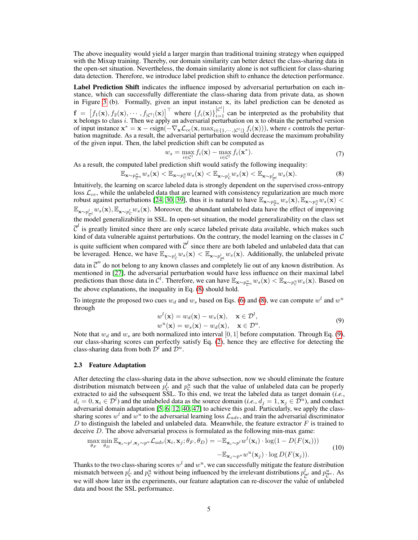The above inequality would yield a larger margin than traditional training strategy when equipped with the Mixup training. Thereby, our domain similarity can better detect the class-sharing data in the open-set situation. Nevertheless, the domain similarity alone is not sufficient for class-sharing data detection. Therefore, we introduce label prediction shift to enhance the detection performance.

Label Prediction Shift indicates the influence imposed by adversarial perturbation on each instance, which can successfully differentiate the class-sharing data from private data, as shown in Figure [3](#page-3-1) (b). Formally, given an input instance x, its label prediction can be denoted as  $f = [f_1(\mathbf{x}), f_2(\mathbf{x}), \cdots, f_{|\mathcal{C}^l|}(\mathbf{x})]^{\top}$  where  $\{f_i(\mathbf{x})\}_{i=1}^{|\mathcal{C}^l|}$  can be interpreted as the probability that x belongs to class i. Then we apply an adversarial perturbation on x to obtain the perturbed version of input instance  $\mathbf{x}^* = \mathbf{x} - \epsilon \text{sign}(-\nabla_{\mathbf{x}} \mathcal{L}_{ce}(\mathbf{x}, \max_{i \in \{1, \cdots, |\mathcal{C}^l|\}} f_i(\mathbf{x}))),$  where  $\epsilon$  controls the perturbation magnitude. As a result, the adversarial perturbation would decrease the maximum probability of the given input. Then, the label prediction shift can be computed as

<span id="page-4-1"></span>
$$
w_s = \max_{i \in \mathcal{C}^l} f_i(\mathbf{x}) - \max_{i \in \mathcal{C}^l} f_i(\mathbf{x}^*). \tag{7}
$$

As a result, the computed label prediction shift would satisfy the following inequality:

$$
\mathbb{E}_{\mathbf{x} \sim p_{\overline{C}^u}} w_s(\mathbf{x}) < \mathbb{E}_{\mathbf{x} \sim p_{\overline{C}}^u} w_s(\mathbf{x}) < \mathbb{E}_{\mathbf{x} \sim p_{\overline{C}}^l} w_s(\mathbf{x}) < \mathbb{E}_{\mathbf{x} \sim p_{\overline{C}^l}} w_s(\mathbf{x}). \tag{8}
$$

Intuitively, the learning on scarce labeled data is strongly dependent on the supervised cross-entropy loss  $\mathcal{L}_{ce}$ , while the unlabeled data that are learned with consistency regularization are much more robust against perturbations [\[24,](#page-10-2) [30,](#page-10-7) [39\]](#page-11-0), thus it is natural to have  $\mathbb{E}_{\mathbf{x} \sim p_{\mathcal{C}}^u} w_s(\mathbf{x}), \mathbb{E}_{\mathbf{x} \sim p_{\mathcal{C}}^u} w_s(\mathbf{x})$  $\mathbb{E}_{\mathbf{x} \sim p_{\overline{C}}^l} w_s(\mathbf{x})$ ,  $\mathbb{E}_{\mathbf{x} \sim p_C^l} w_s(\mathbf{x})$ . Moreover, the abundant unlabeled data have the effect of improving the model generalizability in SSL. In open-set situation, the model generalizability on the class set  $\overline{\mathcal{C}}^l$  is greatly limited since there are only scarce labeled private data available, which makes such kind of data vulnerable against perturbations. On the contrary, the model learning on the classes in C is quite sufficient when compared with  $\overline{\mathcal{C}}^l$  since there are both labeled and unlabeled data that can be leveraged. Hence, we have  $\mathbb{E}_{\mathbf{x} \sim p_C^l} w_s(\mathbf{x}) < \mathbb{E}_{\mathbf{x} \sim p_C^l} w_s(\mathbf{x})$ . Additionally, the unlabeled private data in  $\overline{C}^u$  do not belong to any known classes and completely lie out of any known distribution. As mentioned in [\[27\]](#page-10-8), the adversarial perturbation would have less influence on their maximal label predictions than those data in C<sup>l</sup>. Therefore, we can have  $\mathbb{E}_{\mathbf{x} \sim p_{\mathcal{C}}^u} w_s(\mathbf{x}) < \mathbb{E}_{\mathbf{x} \sim p_{\mathcal{C}}^u} w_s(\mathbf{x})$ . Based on

the above explanations, the inequality in Eq. [\(8\)](#page-4-1) should hold.

<span id="page-4-2"></span>To integrate the proposed two cues  $w_d$  and  $w_s$  based on Eqs. [\(6\)](#page-3-3) and [\(8\)](#page-4-1), we can compute  $w^l$  and  $w^u$ through

<span id="page-4-3"></span>
$$
w^{l}(\mathbf{x}) = w_{d}(\mathbf{x}) - w_{s}(\mathbf{x}), \quad \mathbf{x} \in \mathcal{D}^{l},
$$
  
\n
$$
w^{u}(\mathbf{x}) = w_{s}(\mathbf{x}) - w_{d}(\mathbf{x}), \quad \mathbf{x} \in \mathcal{D}^{u}.
$$
\n(9)

Note that  $w_d$  and  $w_s$  are both normalized into interval [0, 1] before computation. Through Eq. [\(9\)](#page-4-2), our class-sharing scores can perfectly satisfy Eq. [\(2\)](#page-3-4), hence they are effective for detecting the class-sharing data from both  $\bar{\mathcal{D}}^l$  and  $\bar{\mathcal{D}}^u$ .

# <span id="page-4-0"></span>2.3 Feature Adaptation

After detecting the class-sharing data in the above subsection, now we should eliminate the feature distribution mismatch between  $p_{\mathcal{C}}^l$  and  $p_{\mathcal{C}}^u$  such that the value of unlabeled data can be properly extracted to aid the subsequent SSL. To this end, we treat the labeled data as target domain (*i.e.*,  $d_i = 0, \mathbf{x}_i \in \mathcal{D}^l$ ) and the unlabeled data as the source domain (*i.e.*,  $d_j = 1, \mathbf{x}_j \in \mathcal{D}^u$ ), and conduct adversarial domain adaptation [\[5,](#page-9-6) [6,](#page-9-7) [12,](#page-9-8) [40,](#page-11-4) [47\]](#page-11-6) to achieve this goal. Particularly, we apply the classsharing scores  $w^l$  and  $w^u$  to the adversarial learning loss  $\mathcal{L}_{adv}$ , and train the adversarial discriminator  $D$  to distinguish the labeled and unlabeled data. Meanwhile, the feature extractor  $F$  is trained to deceive D. The above adversarial process is formulated as the following min-max game:

$$
\max_{\theta_F} \min_{\theta_D} \mathbb{E}_{\mathbf{x}_i \sim p^l, \mathbf{x}_j \sim p^u} \mathcal{L}_{adv}(\mathbf{x}_i, \mathbf{x}_j; \theta_F, \theta_D) = -\mathbb{E}_{\mathbf{x}_i \sim p^l} w^l(\mathbf{x}_i) \cdot \log(1 - D(F(\mathbf{x}_i))) -\mathbb{E}_{\mathbf{x}_j \sim p^u} w^u(\mathbf{x}_j) \cdot \log D(F(\mathbf{x}_j)).
$$
\n(10)

Thanks to the two class-sharing scores  $w^l$  and  $w^u$ , we can successfully mitigate the feature distribution mismatch between  $p_c^l$  and  $p_c^u$  without being influenced by the irrelevant distributions  $p_c^l$  $\frac{l}{\mathcal{C}'}$  and  $p_{\mathcal{C}^u}^u$ . As we will show later in the experiments, our feature adaptation can re-discover the value of unlabeled data and boost the SSL performance.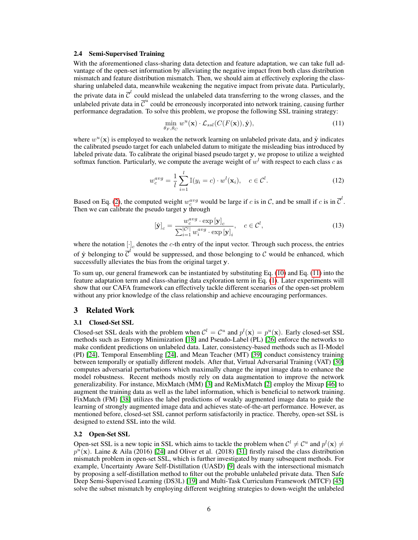# <span id="page-5-0"></span>2.4 Semi-Supervised Training

With the aforementioned class-sharing data detection and feature adaptation, we can take full advantage of the open-set information by alleviating the negative impact from both class distribution mismatch and feature distribution mismatch. Then, we should aim at effectively exploring the classsharing unlabeled data, meanwhile weakening the negative impact from private data. Particularly, the private data in  $\overline{C}^l$  could mislead the unlabeled data transferring to the wrong classes, and the unlabeled private data in  $\overline{C}^u$  could be erroneously incorporated into network training, causing further performance degradation. To solve this problem, we propose the following SSL training strategy:

<span id="page-5-1"></span>
$$
\min_{\theta_F, \theta_C} w^u(\mathbf{x}) \cdot \mathcal{L}_{ssl}(C(F(\mathbf{x})), \hat{\mathbf{y}}),
$$
\n(11)

where  $w^u(\mathbf{x})$  is employed to weaken the network learning on unlabeled private data, and  $\hat{\mathbf{y}}$  indicates the calibrated pseudo target for each unlabeled datum to mitigate the misleading bias introduced by labeled private data. To calibrate the original biased pseudo target y, we propose to utilize a weighted softmax function. Particularly, we compute the average weight of  $w<sup>l</sup>$  with respect to each class c as

$$
w_c^{avg} = \frac{1}{l} \sum_{i=1}^{l} \mathbb{I}(y_i = c) \cdot w^l(\mathbf{x}_i), \quad c \in \mathcal{C}^l.
$$
 (12)

Based on Eq. [\(2\)](#page-3-4), the computed weight  $w_c^{avg}$  would be large if c is in C, and be small if c is in  $\overline{C}^l$ . Then we can calibrate the pseudo target y through

$$
[\hat{\mathbf{y}}]_c = \frac{w_c^{avg} \cdot \exp[\mathbf{y}]_c}{\sum_{i=1}^{|\mathcal{C}^l|} w_i^{avg} \cdot \exp[\mathbf{y}]_i}, \quad c \in \mathcal{C}^l,
$$
\n(13)

where the notation  $[\cdot]_c$  denotes the c-th entry of the input vector. Through such process, the entries of  $\hat{y}$  belonging to  $\overline{C}^l$  would be suppressed, and those belonging to C would be enhanced, which successfully alleviates the bias from the original target y.

To sum up, our general framework can be instantiated by substituting Eq. [\(10\)](#page-4-3) and Eq. [\(11\)](#page-5-1) into the feature adaptation term and class-sharing data exploration term in Eq. [\(1\)](#page-2-1). Later experiments will show that our CAFA framework can effectively tackle different scenarios of the open-set problem without any prior knowledge of the class relationship and achieve encouraging performances.

# 3 Related Work

# 3.1 Closed-Set SSL

Closed-set SSL deals with the problem when  $\mathcal{C}^l = \mathcal{C}^u$  and  $p^l(\mathbf{x}) = p^u(\mathbf{x})$ . Early closed-set SSL methods such as Entropy Minimization [\[18\]](#page-10-9) and Pseudo-Label (PL) [\[26\]](#page-10-10) enforce the networks to make confident predictions on unlabeled data. Later, consistency-based methods such as Π-Model (PI) [\[24\]](#page-10-2), Temporal Ensembling [\[24\]](#page-10-2), and Mean Teacher (MT) [\[39\]](#page-11-0) conduct consistency training between temporally or spatially different models. After that, Virtual Adversarial Training (VAT) [\[30\]](#page-10-7) computes adversarial perturbations which maximally change the input image data to enhance the model robustness. Recent methods mostly rely on data augmentation to improve the network generalizability. For instance, MixMatch (MM) [\[3\]](#page-9-11) and ReMixMatch [\[2\]](#page-9-12) employ the Mixup [\[46\]](#page-11-8) to augment the training data as well as the label information, which is beneficial to network training. FixMatch (FM) [\[38\]](#page-11-9) utilizes the label predictions of weakly augmented image data to guide the learning of strongly augmented image data and achieves state-of-the-art performance. However, as mentioned before, closed-set SSL cannot perform satisfactorily in practice. Thereby, open-set SSL is designed to extend SSL into the wild.

# 3.2 Open-Set SSL

Open-set SSL is a new topic in SSL which aims to tackle the problem when  $\mathcal{C}^l \neq \mathcal{C}^u$  and  $p^l(\mathbf{x}) \neq$  $p^{\bar{u}}(x)$ . Laine & Aila (2016) [\[24\]](#page-10-2) and Oliver et al. (2018) [\[31\]](#page-10-3) firstly raised the class distribution mismatch problem in open-set SSL, which is further investigated by many subsequent methods. For example, Uncertainty Aware Self-Distillation (UASD) [\[9\]](#page-9-5) deals with the intersectional mismatch by proposing a self-distillation method to filter out the probable unlabeled private data. Then Safe Deep Semi-Supervised Learning (DS3L) [\[19\]](#page-10-4) and Multi-Task Curriculum Framework (MTCF) [\[45\]](#page-11-3) solve the subset mismatch by employing different weighting strategies to down-weight the unlabeled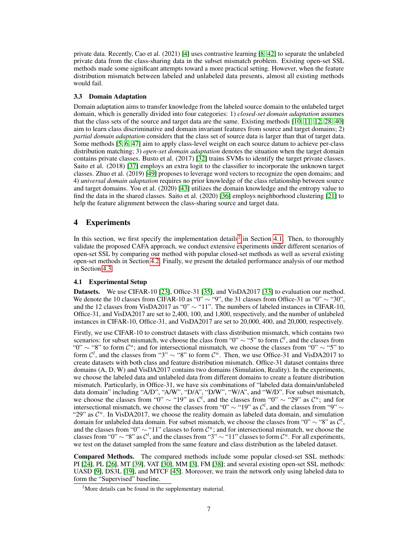private data. Recently, Cao et al. (2021) [\[4\]](#page-9-4) uses contrastive learning [\[8,](#page-9-13) [42\]](#page-11-10) to separate the unlabeled private data from the class-sharing data in the subset mismatch problem. Existing open-set SSL methods made some significant attempts toward a more practical setting. However, when the feature distribution mismatch between labeled and unlabeled data presents, almost all existing methods would fail.

# 3.3 Domain Adaptation

Domain adaptation aims to transfer knowledge from the labeled source domain to the unlabeled target domain, which is generally divided into four categories: 1) *closed-set domain adaptation* assumes that the class sets of the source and target data are the same. Existing methods [\[10,](#page-9-14) [11,](#page-9-15) [12,](#page-9-8) [28,](#page-10-11) [40\]](#page-11-4) aim to learn class discriminative and domain invariant features from source and target domains; 2) *partial domain adaptation* considers that the class set of source data is larger than that of target data. Some methods [\[5,](#page-9-6) [6,](#page-9-7) [47\]](#page-11-6) aim to apply class-level weight on each source datum to achieve per-class distribution matching; 3) *open-set domain adaptation* denotes the situation when the target domain contains private classes. Busto et al. (2017) [\[32\]](#page-10-12) trains SVMs to identify the target private classes. Saito et al. (2018) [\[37\]](#page-11-11) employs an extra logit to the classifier to incorporate the unknown target classes. Zhuo et al. (2019) [\[49\]](#page-11-12) proposes to leverage word vectors to recognize the open domains; and 4) *universal domain adaptation* requires no prior knowledge of the class relationship between source and target domains. You et al. (2020) [\[43\]](#page-11-5) utilizes the domain knowledge and the entropy value to find the data in the shared classes. Saito et al. (2020) [\[36\]](#page-11-13) employs neighborhood clustering [\[21\]](#page-10-13) to help the feature alignment between the class-sharing source and target data.

# 4 Experiments

In this section, we first specify the implementation details<sup>[2](#page-6-0)</sup> in Section [4.1.](#page-6-1) Then, to thoroughly validate the proposed CAFA approach, we conduct extensive experiments under different scenarios of open-set SSL by comparing our method with popular closed-set methods as well as several existing open-set methods in Section [4.2.](#page-7-0) Finally, we present the detailed performance analysis of our method in Section [4.3.](#page-8-0)

# <span id="page-6-1"></span>4.1 Experimental Setup

Datasets. We use CIFAR-10 [\[23\]](#page-10-14), Office-31 [\[35\]](#page-10-15), and VisDA2017 [\[33\]](#page-10-16) to evaluation our method. We denote the 10 classes from CIFAR-10 as "0"  $\sim$  "9", the 31 classes from Office-31 as "0"  $\sim$  "30", and the 12 classes from VisDA2017 as "0" ∼ "11". The numbers of labeled instances in CIFAR-10, Office-31, and VisDA2017 are set to 2,400, 100, and 1,800, respectively, and the number of unlabeled instances in CIFAR-10, Office-31, and VisDA2017 are set to 20,000, 400, and 20,000, respectively.

Firstly, we use CIFAR-10 to construct datasets with class distribution mismatch, which contains two scenarios: for subset mismatch, we choose the class from "0"  $\sim$  "5" to form  $\mathcal{C}^l$ , and the classes from " $0$ " ~ "8" to form  $\mathcal{C}^u$ ; and for intersectional mismatch, we choose the classes from " $0$ " ~ "5" to form  $\mathcal{C}^l$ , and the classes from "3" ~ "8" to form  $\mathcal{C}^u$ . Then, we use Office-31 and VisDA2017 to create datasets with both class and feature distribution mismatch. Office-31 dataset contains three domains (A, D, W) and VisDA2017 contains two domains (Simulation, Reality). In the experiments, we choose the labeled data and unlabeled data from different domains to create a feature distribution mismatch. Particularly, in Office-31, we have six combinations of "labeled data domain/unlabeled data domain" including "A/D", "A/W", "D/A", "D/W", "W/A", and "W/D". For subset mismatch, we choose the classes from "0"  $\sim$  "19" as  $\mathcal{C}^l$ , and the classes from "0"  $\sim$  "29" as  $\mathcal{C}^u$ ; and for intersectional mismatch, we choose the classes from "0"  $\sim$  "19" as  $\mathcal{C}^l$ , and the classes from "9"  $\sim$ "29" as  $\mathcal{C}^u$ . In VisDA2017, we choose the reality domain as labeled data domain, and simulation domain for unlabeled data domain. For subset mismatch, we choose the classes from "0"  $\sim$  "8" as  $\mathcal{C}^l$ , and the classes from "0"  $\sim$  "11" classes to form  $\mathcal{C}^u$ ; and for intersectional mismatch, we choose the classes from "0"  $\sim$  "8" as  $\mathcal{C}^l$ , and the classes from "3"  $\sim$  "11" classes to form  $\mathcal{C}^u$ . For all experiments, we test on the dataset sampled from the same feature and class distribution as the labeled dataset.

Compared Methods. The compared methods include some popular closed-set SSL methods: PI [\[24\]](#page-10-2), PL [\[26\]](#page-10-10), MT [\[39\]](#page-11-0), VAT [\[30\]](#page-10-7), MM [\[3\]](#page-9-11), FM [\[38\]](#page-11-9); and several existing open-set SSL methods: UASD [\[9\]](#page-9-5), DS3L [\[19\]](#page-10-4), and MTCF [\[45\]](#page-11-3). Moreover, we train the network only using labeled data to form the "Supervised" baseline.

<span id="page-6-0"></span><sup>&</sup>lt;sup>2</sup>More details can be found in the supplementary material.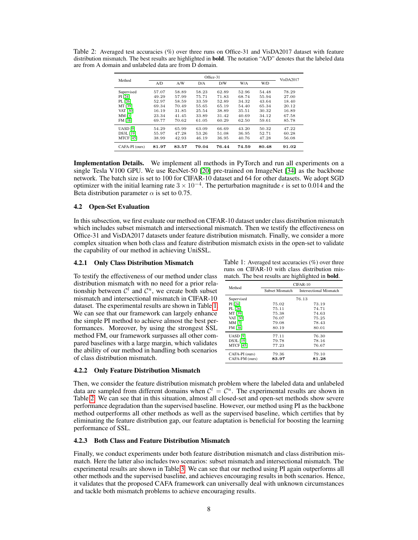|                  | Office-31 |       |       |       |       |       |                  |  |  |
|------------------|-----------|-------|-------|-------|-------|-------|------------------|--|--|
| Method           | A/D       | A/W   | D/A   | D/W   | W/A   | W/D   | <b>VisDA2017</b> |  |  |
| Supervised       | 57.07     | 58.89 | 58.23 | 62.89 | 52.96 | 54.48 | 78.29            |  |  |
| PI [24]          | 49.29     | 57.99 | 75.71 | 71.83 | 68.74 | 55.94 | 27.00            |  |  |
| PL [26]          | 52.97     | 58.59 | 33.59 | 52.89 | 34.32 | 43.64 | 18.40            |  |  |
| MT [39]          | 69.34     | 70.49 | 55.65 | 65.19 | 54.40 | 65.34 | 20.12            |  |  |
| <b>VAT [30]</b>  | 16.19     | 31.85 | 25.54 | 38.89 | 35.51 | 30.32 | 16.89            |  |  |
| <b>MM [3]</b>    | 23.34     | 41.45 | 33.89 | 31.42 | 40.69 | 34.12 | 67.58            |  |  |
| FM [38]          | 69.77     | 70.62 | 61.05 | 60.29 | 62.50 | 59.61 | 85.78            |  |  |
| <b>UASD</b> [9]  | 54.29     | 65.99 | 63.09 | 66.69 | 43.20 | 50.32 | 47.22            |  |  |
| DS3L [19]        | 55.97     | 47.28 | 53.26 | 51.08 | 36.95 | 52.71 | 60.28            |  |  |
| <b>MTCF [45]</b> | 38.99     | 42.93 | 46.19 | 36.95 | 40.76 | 47.28 | 56.08            |  |  |
| CAFA-PI (ours)   | 81.97     | 83.57 | 79.04 | 76.44 | 74.59 | 80.48 | 91.02            |  |  |

<span id="page-7-2"></span>Table 2: Averaged test accuracies (%) over three runs on Office-31 and VisDA2017 dataset with feature distribution mismatch. The best results are highlighted in **bold**. The notation "A/D" denotes that the labeled data are from A domain and unlabeled data are from D domain.

Implementation Details. We implement all methods in PyTorch and run all experiments on a single Tesla V100 GPU. We use ResNet-50 [\[20\]](#page-10-17) pre-trained on ImageNet [\[34\]](#page-10-18) as the backbone network. The batch size is set to 100 for CIFAR-10 dataset and 64 for other datasets. We adopt SGD optimizer with the initial learning rate  $3 \times 10^{-4}$ . The perturbation magnitude  $\epsilon$  is set to 0.014 and the Beta distribution parameter  $\alpha$  is set to 0.75.

# <span id="page-7-0"></span>4.2 Open-Set Evaluation

In this subsection, we first evaluate our method on CIFAR-10 dataset under class distribution mismatch which includes subset mismatch and intersectional mismatch. Then we testify the effectiveness on Office-31 and VisDA2017 datasets under feature distribution mismatch. Finally, we consider a more complex situation when both class and feature distribution mismatch exists in the open-set to validate the capability of our method in achieving UniSSL.

To testify the effectiveness of our method under class distribution mismatch with no need for a prior relationship between  $\mathcal{C}^l$  and  $\mathcal{C}^u$ , we create both subset mismatch and intersectional mismatch in CIFAR-10 dataset. The experimental results are shown in Table [1.](#page-7-1) We can see that our framework can largely enhance the simple PI method to achieve almost the best performances. Moreover, by using the strongest SSL method FM, our framework surpasses all other compared baselines with a large margin, which validates the ability of our method in handling both scenarios of class distribution mismatch.

#### 4.2.2 Only Feature Distribution Mismatch

**4.2.1 Only Class Distribution Mismatch** Table 1: Averaged test accuracies (%) over three runs on CIFAR-10 with class distribution mismatch. The best results are highlighted in bold.

<span id="page-7-1"></span>

|                  | $CIFAR-10$      |                                |  |  |  |  |  |  |
|------------------|-----------------|--------------------------------|--|--|--|--|--|--|
| Method           | Subset Mismatch | <b>Intersectional Mismatch</b> |  |  |  |  |  |  |
| Supervised       | 76.13           |                                |  |  |  |  |  |  |
| PI [24]          | 75.02           | 73.19                          |  |  |  |  |  |  |
| PL [26]          | 75.11           | 74.71                          |  |  |  |  |  |  |
| MT [39]          | 75.38           | 74.63                          |  |  |  |  |  |  |
| <b>VAT [30]</b>  | 76.07           | 75.25                          |  |  |  |  |  |  |
| MM [3]           | 79.08           | 78.43                          |  |  |  |  |  |  |
| FM [38]          | 80.19           | 80.01                          |  |  |  |  |  |  |
| <b>UASD</b> [9]  | 77.11           | 76.30                          |  |  |  |  |  |  |
| <b>DS3L</b> [19] | 79.78           | 78.16                          |  |  |  |  |  |  |
| <b>MTCF</b> [45] | 77.23           | 76.67                          |  |  |  |  |  |  |
| CAFA-PI (ours)   | 79.36           | 79.10                          |  |  |  |  |  |  |
| CAFA-FM (ours)   | 83.97           | 81.28                          |  |  |  |  |  |  |

Then, we consider the feature distribution mismatch problem where the labeled data and unlabeled data are sampled from different domains when  $\mathcal{C}^l = \mathcal{C}^u$ . The experimental results are shown in Table [2.](#page-7-2) We can see that in this situation, almost all closed-set and open-set methods show severe performance degradation than the supervised baseline. However, our method using PI as the backbone method outperforms all other methods as well as the supervised baseline, which certifies that by eliminating the feature distribution gap, our feature adaptation is beneficial for boosting the learning performance of SSL.

# 4.2.3 Both Class and Feature Distribution Mismatch

Finally, we conduct experiments under both feature distribution mismatch and class distribution mismatch. Here the latter also includes two scenarios: subset mismatch and intersectional mismatch. The experimental results are shown in Table [3.](#page-8-1) We can see that our method using PI again outperforms all other methods and the supervised baseline, and achieves encouraging results in both scenarios. Hence, it validates that the proposed CAFA framework can universally deal with unknown circumstances and tackle both mismatch problems to achieve encouraging results.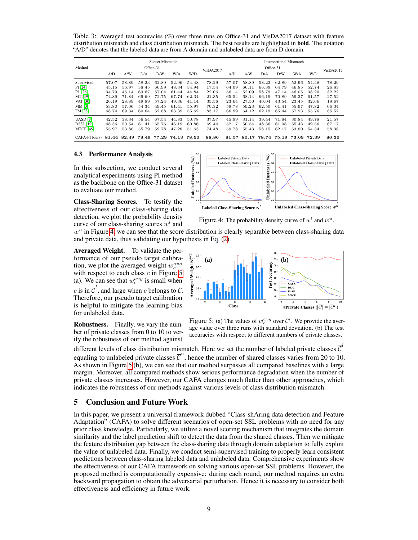<span id="page-8-1"></span>Table 3: Averaged test accuracies (%) over three runs on Office-31 and VisDA2017 dataset with feature distribution mismatch and class distribution mismatch. The best results are highlighted in bold. The notation "A/D" denotes that the labeled data are from A domain and unlabeled data are from D domain.

|                                                    | Subset Mismatch |       |       |       |       |       |                  | Intersectional Mismatch |       |                         |       |       |       |                  |
|----------------------------------------------------|-----------------|-------|-------|-------|-------|-------|------------------|-------------------------|-------|-------------------------|-------|-------|-------|------------------|
| Method                                             | Office-31       |       |       |       |       |       | <b>VisDA2017</b> | Office-31               |       |                         |       |       |       | <b>VisDA2017</b> |
|                                                    | A/D             | A/W   | D/A   | D/W   | W/A   | W/D   |                  | A/D                     | A/W   | D/A                     | D/W   | W/A   | W/D   |                  |
| Supervised                                         | 57.07           | 58.89 | 58.23 | 62.89 | 52.96 | 54.48 | 78.29            | 57.07                   | 58.89 | 58.23                   | 62.89 | 52.96 | 54.48 | 78.29            |
| PI [24]                                            | 45.15           | 56.97 | 38.45 | 66.99 | 48.34 | 54.94 | 17.54            | 64.09                   | 66.11 | 66.39                   | 64.79 | 46.85 | 52.74 | 26.83            |
| PL [26]                                            | 34.79           | 46.14 | 63.67 | 57.04 | 61.44 | 44.84 | 22.06            | 56.14                   | 52.09 | 58.79                   | 47.14 | 46.05 | 38.20 | 32.22            |
| MT [39]                                            | 74.89           | 71.84 | 69.69 | 72.75 | 67.74 | 62.34 | 21.35            | 65.54                   | 68.14 | 66.19                   | 70.89 | 59.37 | 61.57 | 27.52            |
| <b>VAT [30]</b>                                    | 26.19           | 28.89 | 49.89 | 57.24 | 49.36 | 41.14 | 35.56            | 23.64                   | 27.50 | 40.04                   | 43.54 | 23.45 | 32.66 | 19.67            |
| MM [3]                                             | 53.80           | 57.06 | 54.34 | 49.45 | 61.41 | 55.97 | 70.32            | 59.78                   | 59.23 | 62.50                   | 61.41 | 55.97 | 47.82 | 66.34            |
| FM [38]                                            | 68.74           | 69.34 | 60.64 | 52.88 | 63.39 | 55.62 | 83.17            | 66.99                   | 64.12 | 62.19                   | 65.44 | 57.93 | 55.76 | 85.57            |
| <b>UASD</b> [9]                                    | 42.52           | 38.34 | 56.54 | 67.54 | 44.83 | 50.78 | 37.97            | 45.99                   | 31.14 | 39.44                   | 71.84 | 30.84 | 49.78 | 21.57            |
| DS3L [19]                                          | 48.36           | 50.54 | 61.41 | 65.76 | 46.19 | 60.86 | 69.44            | 52.17                   | 50.54 | 48.36                   | 61.08 | 55.43 | 49.56 | 67.17            |
| <b>MTCF</b> [45]                                   | 55.97           | 53.80 | 55.79 | 59.78 | 47.28 | 51.63 | 74.48            | 59.78                   | 55.43 | 58.15                   | 62.17 | 53.80 | 54.34 | 58.38            |
| CAFA-PI (ours) 81.44 82.49 78.49 77.29 74.13 78.50 |                 |       |       |       |       |       | 88.86            | 81.57                   |       | 80.17 78.74 75.19 73.69 |       |       | 72.39 | 86.30            |

# <span id="page-8-0"></span>4.3 Performance Analysis

In this subsection, we conduct several analytical experiments using PI method as the backbone on the Office-31 dataset to evaluate our method.

Class-Sharing Scores. To testify the effectiveness of our class-sharing data detection, we plot the probability density curve of our class-sharing scores  $w<sup>l</sup>$  and



<span id="page-8-2"></span>Figure 4: The probability density curve of  $w<sup>l</sup>$  and  $w<sup>u</sup>$ .

 $w<sup>u</sup>$  in Figure [4,](#page-8-2) we can see that the score distribution is clearly separable between class-sharing data and private data, thus validating our hypothesis in Eq. [\(2\)](#page-3-4).

Averaged Weight. To validate the performance of our pseudo target calibration, we plot the averaged weight  $w_c^{avg}$ with respect to each class  $c$  in Figure [5](#page-8-3) (a). We can see that  $w_c^{avg}$  is small when c is in  $\overline{C}^l$ , and large when c belongs to C. Therefore, our pseudo target calibration is helpful to mitigate the learning bias for unlabeled data.



Robustness. Finally, we vary the number of private classes from 0 to 10 to verify the robustness of our method against

<span id="page-8-3"></span>Figure 5: (a) The values of  $w_c^{avg}$  over  $C^l$ . We provide the average value over three runs with standard deviation. (b) The test accuracies with respect to different numbers of private classes.

different levels of class distribution mismatch. Here we set the number of labeled private classes  $\overline{\mathcal{C}}^l$ equaling to unlabeled private classes  $\overline{C}^u$ , hence the number of shared classes varies from 20 to 10. As shown in Figure [5](#page-8-3) (b), we can see that our method surpasses all compared baselines with a large margin. Moreover, all compared methods show serious performance degradation when the number of private classes increases. However, our CAFA changes much flatter than other approaches, which indicates the robustness of our methods against various levels of class distribution mismatch.

# 5 Conclusion and Future Work

In this paper, we present a universal framework dubbed "Class-shAring data detection and Feature Adaptation" (CAFA) to solve different scenarios of open-set SSL problems with no need for any prior class knowledge. Particularly, we utilize a novel scoring mechanism that integrates the domain similarity and the label prediction shift to detect the data from the shared classes. Then we mitigate the feature distribution gap between the class-sharing data through domain adaptation to fully exploit the value of unlabeled data. Finally, we conduct semi-supervised training to properly learn consistent predictions between class-sharing labeled data and unlabeled data. Comprehensive experiments show the effectiveness of our CAFA framework on solving various open-set SSL problems. However, the proposed method is computationally expensive: during each round, our method requires an extra backward propagation to obtain the adversarial perturbation. Hence it is necessary to consider both effectiveness and efficiency in future work.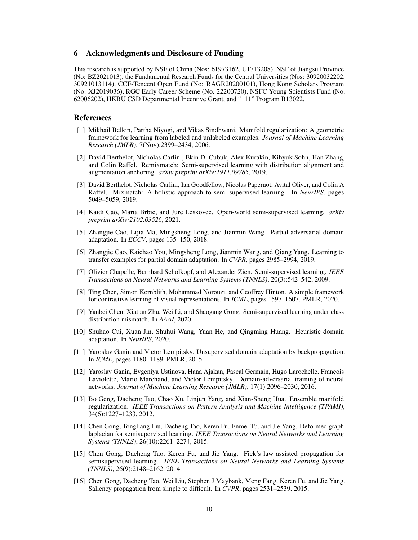# 6 Acknowledgments and Disclosure of Funding

This research is supported by NSF of China (Nos: 61973162, U1713208), NSF of Jiangsu Province (No: BZ2021013), the Fundamental Research Funds for the Central Universities (Nos: 30920032202, 30921013114), CCF-Tencent Open Fund (No: RAGR20200101), Hong Kong Scholars Program (No: XJ2019036), RGC Early Career Scheme (No. 22200720), NSFC Young Scientists Fund (No. 62006202), HKBU CSD Departmental Incentive Grant, and "111" Program B13022.

# References

- <span id="page-9-9"></span>[1] Mikhail Belkin, Partha Niyogi, and Vikas Sindhwani. Manifold regularization: A geometric framework for learning from labeled and unlabeled examples. *Journal of Machine Learning Research (JMLR)*, 7(Nov):2399–2434, 2006.
- <span id="page-9-12"></span>[2] David Berthelot, Nicholas Carlini, Ekin D. Cubuk, Alex Kurakin, Kihyuk Sohn, Han Zhang, and Colin Raffel. Remixmatch: Semi-supervised learning with distribution alignment and augmentation anchoring. *arXiv preprint arXiv:1911.09785*, 2019.
- <span id="page-9-11"></span>[3] David Berthelot, Nicholas Carlini, Ian Goodfellow, Nicolas Papernot, Avital Oliver, and Colin A Raffel. Mixmatch: A holistic approach to semi-supervised learning. In *NeurIPS*, pages 5049–5059, 2019.
- <span id="page-9-4"></span>[4] Kaidi Cao, Maria Brbic, and Jure Leskovec. Open-world semi-supervised learning. *arXiv preprint arXiv:2102.03526*, 2021.
- <span id="page-9-6"></span>[5] Zhangjie Cao, Lijia Ma, Mingsheng Long, and Jianmin Wang. Partial adversarial domain adaptation. In *ECCV*, pages 135–150, 2018.
- <span id="page-9-7"></span>[6] Zhangjie Cao, Kaichao You, Mingsheng Long, Jianmin Wang, and Qiang Yang. Learning to transfer examples for partial domain adaptation. In *CVPR*, pages 2985–2994, 2019.
- <span id="page-9-0"></span>[7] Olivier Chapelle, Bernhard Scholkopf, and Alexander Zien. Semi-supervised learning. *IEEE Transactions on Neural Networks and Learning Systems (TNNLS)*, 20(3):542–542, 2009.
- <span id="page-9-13"></span>[8] Ting Chen, Simon Kornblith, Mohammad Norouzi, and Geoffrey Hinton. A simple framework for contrastive learning of visual representations. In *ICML*, pages 1597–1607. PMLR, 2020.
- <span id="page-9-5"></span>[9] Yanbei Chen, Xiatian Zhu, Wei Li, and Shaogang Gong. Semi-supervised learning under class distribution mismatch. In *AAAI*, 2020.
- <span id="page-9-14"></span>[10] Shuhao Cui, Xuan Jin, Shuhui Wang, Yuan He, and Qingming Huang. Heuristic domain adaptation. In *NeurIPS*, 2020.
- <span id="page-9-15"></span>[11] Yaroslav Ganin and Victor Lempitsky. Unsupervised domain adaptation by backpropagation. In *ICML*, pages 1180–1189. PMLR, 2015.
- <span id="page-9-8"></span>[12] Yaroslav Ganin, Evgeniya Ustinova, Hana Ajakan, Pascal Germain, Hugo Larochelle, François Laviolette, Mario Marchand, and Victor Lempitsky. Domain-adversarial training of neural networks. *Journal of Machine Learning Research (JMLR)*, 17(1):2096–2030, 2016.
- <span id="page-9-10"></span>[13] Bo Geng, Dacheng Tao, Chao Xu, Linjun Yang, and Xian-Sheng Hua. Ensemble manifold regularization. *IEEE Transactions on Pattern Analysis and Machine Intelligence (TPAMI)*, 34(6):1227–1233, 2012.
- <span id="page-9-1"></span>[14] Chen Gong, Tongliang Liu, Dacheng Tao, Keren Fu, Enmei Tu, and Jie Yang. Deformed graph laplacian for semisupervised learning. *IEEE Transactions on Neural Networks and Learning Systems (TNNLS)*, 26(10):2261–2274, 2015.
- <span id="page-9-2"></span>[15] Chen Gong, Dacheng Tao, Keren Fu, and Jie Yang. Fick's law assisted propagation for semisupervised learning. *IEEE Transactions on Neural Networks and Learning Systems (TNNLS)*, 26(9):2148–2162, 2014.
- <span id="page-9-3"></span>[16] Chen Gong, Dacheng Tao, Wei Liu, Stephen J Maybank, Meng Fang, Keren Fu, and Jie Yang. Saliency propagation from simple to difficult. In *CVPR*, pages 2531–2539, 2015.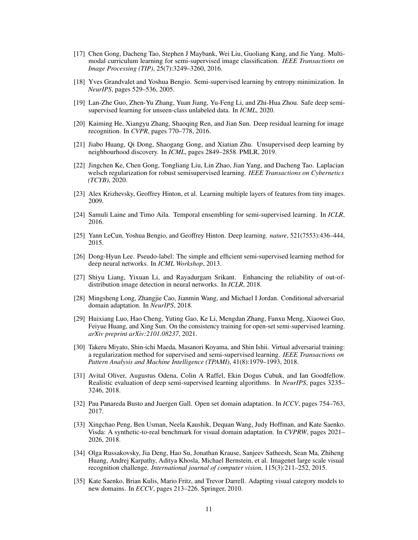- <span id="page-10-1"></span>[17] Chen Gong, Dacheng Tao, Stephen J Maybank, Wei Liu, Guoliang Kang, and Jie Yang. Multimodal curriculum learning for semi-supervised image classification. *IEEE Transactions on Image Processing (TIP)*, 25(7):3249–3260, 2016.
- <span id="page-10-9"></span>[18] Yves Grandvalet and Yoshua Bengio. Semi-supervised learning by entropy minimization. In *NeurIPS*, pages 529–536, 2005.
- <span id="page-10-4"></span>[19] Lan-Zhe Guo, Zhen-Yu Zhang, Yuan Jiang, Yu-Feng Li, and Zhi-Hua Zhou. Safe deep semisupervised learning for unseen-class unlabeled data. In *ICML*, 2020.
- <span id="page-10-17"></span>[20] Kaiming He, Xiangyu Zhang, Shaoqing Ren, and Jian Sun. Deep residual learning for image recognition. In *CVPR*, pages 770–778, 2016.
- <span id="page-10-13"></span>[21] Jiabo Huang, Qi Dong, Shaogang Gong, and Xiatian Zhu. Unsupervised deep learning by neighbourhood discovery. In *ICML*, pages 2849–2858. PMLR, 2019.
- <span id="page-10-5"></span>[22] Jingchen Ke, Chen Gong, Tongliang Liu, Lin Zhao, Jian Yang, and Dacheng Tao. Laplacian welsch regularization for robust semisupervised learning. *IEEE Transactions on Cybernetics (TCYB)*, 2020.
- <span id="page-10-14"></span>[23] Alex Krizhevsky, Geoffrey Hinton, et al. Learning multiple layers of features from tiny images. 2009.
- <span id="page-10-2"></span>[24] Samuli Laine and Timo Aila. Temporal ensembling for semi-supervised learning. In *ICLR*, 2016.
- <span id="page-10-0"></span>[25] Yann LeCun, Yoshua Bengio, and Geoffrey Hinton. Deep learning. *nature*, 521(7553):436–444, 2015.
- <span id="page-10-10"></span>[26] Dong-Hyun Lee. Pseudo-label: The simple and efficient semi-supervised learning method for deep neural networks. In *ICML Workshop*, 2013.
- <span id="page-10-8"></span>[27] Shiyu Liang, Yixuan Li, and Rayadurgam Srikant. Enhancing the reliability of out-ofdistribution image detection in neural networks. In *ICLR*, 2018.
- <span id="page-10-11"></span>[28] Mingsheng Long, Zhangjie Cao, Jianmin Wang, and Michael I Jordan. Conditional adversarial domain adaptation. In *NeurIPS*, 2018.
- <span id="page-10-6"></span>[29] Huixiang Luo, Hao Cheng, Yuting Gao, Ke Li, Mengdan Zhang, Fanxu Meng, Xiaowei Guo, Feiyue Huang, and Xing Sun. On the consistency training for open-set semi-supervised learning. *arXiv preprint arXiv:2101.08237*, 2021.
- <span id="page-10-7"></span>[30] Takeru Miyato, Shin-ichi Maeda, Masanori Koyama, and Shin Ishii. Virtual adversarial training: a regularization method for supervised and semi-supervised learning. *IEEE Transactions on Pattern Analysis and Machine Intelligence (TPAMI)*, 41(8):1979–1993, 2018.
- <span id="page-10-3"></span>[31] Avital Oliver, Augustus Odena, Colin A Raffel, Ekin Dogus Cubuk, and Ian Goodfellow. Realistic evaluation of deep semi-supervised learning algorithms. In *NeurIPS*, pages 3235– 3246, 2018.
- <span id="page-10-12"></span>[32] Pau Panareda Busto and Juergen Gall. Open set domain adaptation. In *ICCV*, pages 754–763, 2017.
- <span id="page-10-16"></span>[33] Xingchao Peng, Ben Usman, Neela Kaushik, Dequan Wang, Judy Hoffman, and Kate Saenko. Visda: A synthetic-to-real benchmark for visual domain adaptation. In *CVPRW*, pages 2021– 2026, 2018.
- <span id="page-10-18"></span>[34] Olga Russakovsky, Jia Deng, Hao Su, Jonathan Krause, Sanjeev Satheesh, Sean Ma, Zhiheng Huang, Andrej Karpathy, Aditya Khosla, Michael Bernstein, et al. Imagenet large scale visual recognition challenge. *International journal of computer vision*, 115(3):211–252, 2015.
- <span id="page-10-15"></span>[35] Kate Saenko, Brian Kulis, Mario Fritz, and Trevor Darrell. Adapting visual category models to new domains. In *ECCV*, pages 213–226. Springer, 2010.